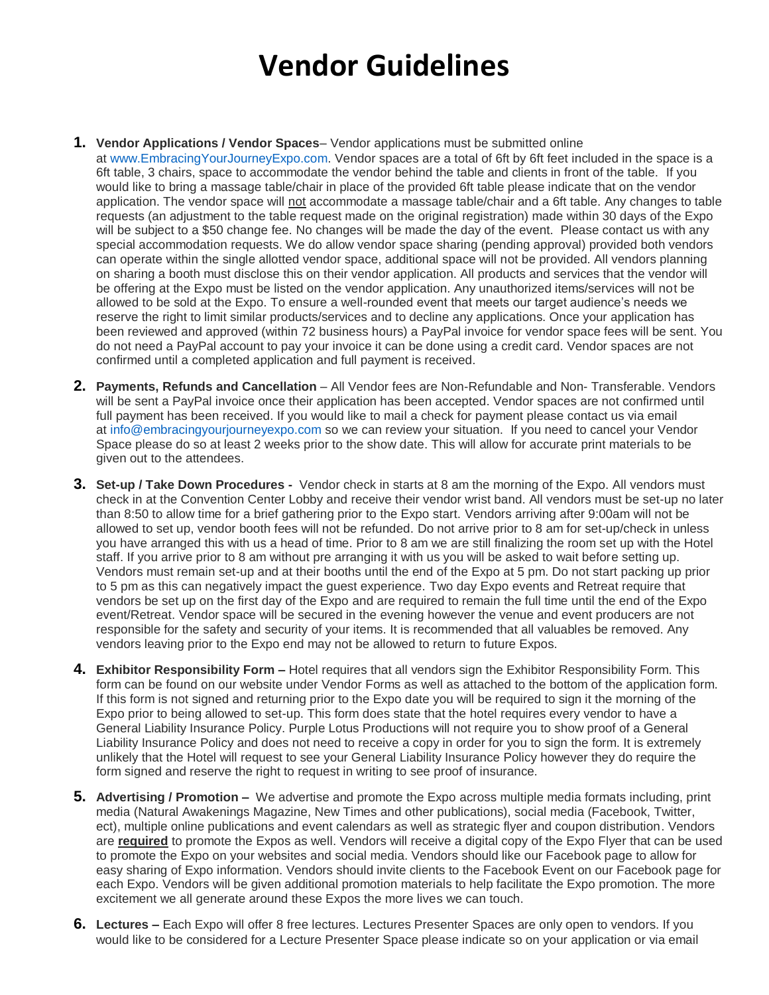## **Vendor Guidelines**

- **1. Vendor Applications / Vendor Spaces** Vendor applications must be submitted online
	- at [www.EmbracingYourJourneyExpo.com.](http://weebly-link/939243505930878073) Vendor spaces are a total of 6ft by 6ft feet included in the space is a 6ft table, 3 chairs, space to accommodate the vendor behind the table and clients in front of the table. If you would like to bring a massage table/chair in place of the provided 6ft table please indicate that on the vendor application. The vendor space will not accommodate a massage table/chair and a 6ft table. Any changes to table requests (an adjustment to the table request made on the original registration) made within 30 days of the Expo will be subject to a \$50 change fee. No changes will be made the day of the event. Please contact us with any special accommodation requests. We do allow vendor space sharing (pending approval) provided both vendors can operate within the single allotted vendor space, additional space will not be provided. All vendors planning on sharing a booth must disclose this on their vendor application. All products and services that the vendor will be offering at the Expo must be listed on the vendor application. Any unauthorized items/services will not be allowed to be sold at the Expo. To ensure a well-rounded event that meets our target audience's needs we reserve the right to limit similar products/services and to decline any applications. Once your application has been reviewed and approved (within 72 business hours) a PayPal invoice for vendor space fees will be sent. You do not need a PayPal account to pay your invoice it can be done using a credit card. Vendor spaces are not confirmed until a completed application and full payment is received.
- **2. Payments, Refunds and Cancellation** All Vendor fees are Non-Refundable and Non- Transferable. Vendors will be sent a PayPal invoice once their application has been accepted. Vendor spaces are not confirmed until full payment has been received. If you would like to mail a check for payment please contact us via email at [info@embracingyourjourneyexpo.com](mailto:info@embracingyourjourneyexpo.com.) so we can review your situation. If you need to cancel your Vendor Space please do so at least 2 weeks prior to the show date. This will allow for accurate print materials to be given out to the attendees.
- **3. Set-up / Take Down Procedures** Vendor check in starts at 8 am the morning of the Expo. All vendors must check in at the Convention Center Lobby and receive their vendor wrist band. All vendors must be set-up no later than 8:50 to allow time for a brief gathering prior to the Expo start. Vendors arriving after 9:00am will not be allowed to set up, vendor booth fees will not be refunded. Do not arrive prior to 8 am for set-up/check in unless you have arranged this with us a head of time. Prior to 8 am we are still finalizing the room set up with the Hotel staff. If you arrive prior to 8 am without pre arranging it with us you will be asked to wait before setting up. Vendors must remain set-up and at their booths until the end of the Expo at 5 pm. Do not start packing up prior to 5 pm as this can negatively impact the guest experience. Two day Expo events and Retreat require that vendors be set up on the first day of the Expo and are required to remain the full time until the end of the Expo event/Retreat. Vendor space will be secured in the evening however the venue and event producers are not responsible for the safety and security of your items. It is recommended that all valuables be removed. Any vendors leaving prior to the Expo end may not be allowed to return to future Expos.
- **4. Exhibitor Responsibility Form –** Hotel requires that all vendors sign the Exhibitor Responsibility Form. This form can be found on our website under Vendor Forms as well as attached to the bottom of the application form. If this form is not signed and returning prior to the Expo date you will be required to sign it the morning of the Expo prior to being allowed to set-up. This form does state that the hotel requires every vendor to have a General Liability Insurance Policy. Purple Lotus Productions will not require you to show proof of a General Liability Insurance Policy and does not need to receive a copy in order for you to sign the form. It is extremely unlikely that the Hotel will request to see your General Liability Insurance Policy however they do require the form signed and reserve the right to request in writing to see proof of insurance.
- **5. Advertising / Promotion –** We advertise and promote the Expo across multiple media formats including, print media (Natural Awakenings Magazine, New Times and other publications), social media (Facebook, Twitter, ect), multiple online publications and event calendars as well as strategic flyer and coupon distribution. Vendors are **required** to promote the Expos as well. Vendors will receive a digital copy of the Expo Flyer that can be used to promote the Expo on your websites and social media. Vendors should like our Facebook page to allow for easy sharing of Expo information. Vendors should invite clients to the Facebook Event on our Facebook page for each Expo. Vendors will be given additional promotion materials to help facilitate the Expo promotion. The more excitement we all generate around these Expos the more lives we can touch.
- **6. Lectures –** Each Expo will offer 8 free lectures. Lectures Presenter Spaces are only open to vendors. If you would like to be considered for a Lecture Presenter Space please indicate so on your application or via email